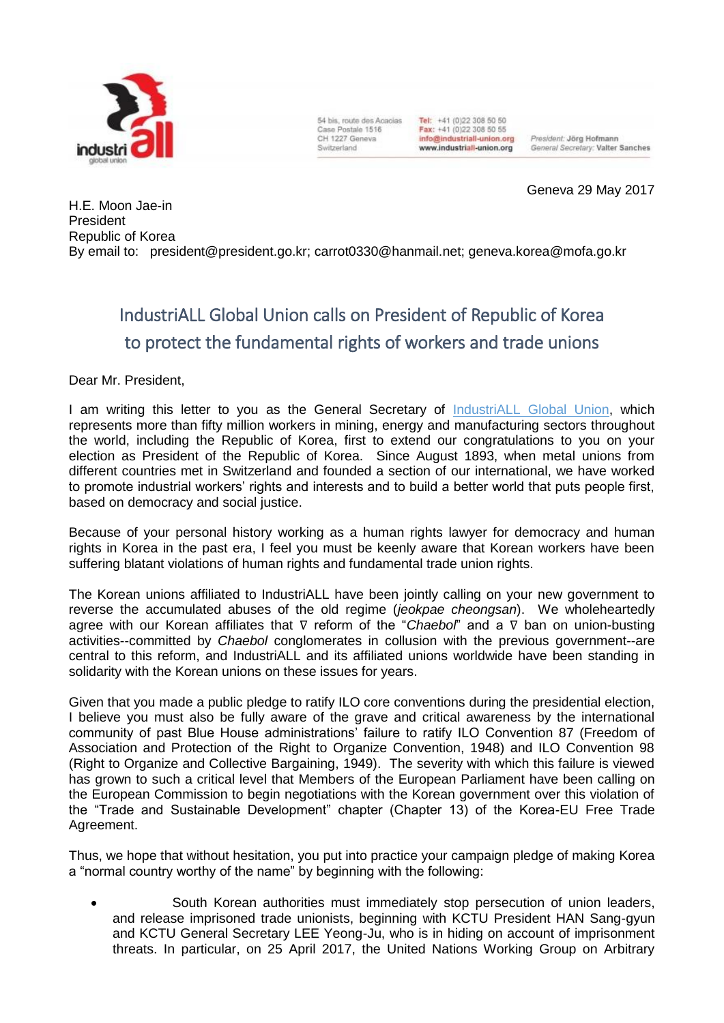

54 bis, route des Acacias. Case Postale 1516 CH 1227 Geneva Switzerland

Tel: +41 (0)22 308 50 50 Fax: +41 (0)22 308 50 55 info@industriall-union.org www.industriall-union.org

President: Jörg Hofmann General Secretary: Valter Sanches

Geneva 29 May 2017

H.E. [Moon Jae-in](https://en.wikipedia.org/wiki/Moon_Jae-in) President Republic of Korea By email to: [president@president.go.kr;](mailto:president@president.go.kr) [carrot0330@hanmail.net;](mailto:carrot0330@hanmail.net) [geneva.korea@mofa.go.kr](mailto:geneva.korea@mofa.go.kr)

## IndustriALL Global Union calls on President of Republic of Korea to protect the fundamental rights of workers and trade unions

Dear Mr. President,

I am writing this letter to you as the General Secretary of [IndustriALL Global Union,](http://www.industriall-union.org/) which represents more than fifty million workers in mining, energy and manufacturing sectors throughout the world, including the Republic of Korea, first to extend our congratulations to you on your election as President of the Republic of Korea. Since August 1893, when metal unions from different countries met in Switzerland and founded a section of our international, we have worked to promote industrial workers' rights and interests and to build a better world that puts people first, based on democracy and social justice.

Because of your personal history working as a human rights lawyer for democracy and human rights in Korea in the past era, I feel you must be keenly aware that Korean workers have been suffering blatant violations of human rights and fundamental trade union rights.

The Korean unions affiliated to IndustriALL have been jointly calling on your new government to reverse the accumulated abuses of the old regime (*jeokpae cheongsan*). We wholeheartedly agree with our Korean affiliates that ∇ reform of the "*Chaebol*" and a ∇ ban on union-busting activities--committed by *Chaebol* conglomerates in collusion with the previous government--are central to this reform, and IndustriALL and its affiliated unions worldwide have been standing in solidarity with the Korean unions on these issues for years.

Given that you made a public pledge to ratify ILO core conventions during the presidential election, I believe you must also be fully aware of the grave and critical awareness by the international community of past Blue House administrations' failure to ratify ILO Convention 87 (Freedom of Association and Protection of the Right to Organize Convention, 1948) and ILO Convention 98 (Right to Organize and Collective Bargaining, 1949). The severity with which this failure is viewed has grown to such a critical level that Members of the European Parliament have been calling on the European Commission to begin negotiations with the Korean government over this violation of the "Trade and Sustainable Development" chapter (Chapter 13) of the Korea-EU Free Trade Agreement.

Thus, we hope that without hesitation, you put into practice your campaign pledge of making Korea a "normal country worthy of the name" by beginning with the following:

 South Korean authorities must immediately stop persecution of union leaders, and release imprisoned trade unionists, beginning with KCTU President HAN Sang-gyun and KCTU General Secretary LEE Yeong-Ju, who is in hiding on account of imprisonment threats. In particular, on 25 April 2017, the United Nations Working Group on Arbitrary